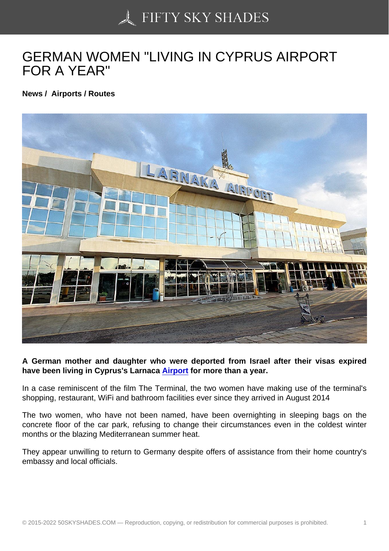## [GERMAN WOMEN "LI](https://50skyshades.com)VING IN CYPRUS AIRPORT FOR A YEAR"

News / Airports / Routes

A German mother and daughter who were deported from Israel after their visas expired have been living in Cyprus's Larnaca Airport for more than a year.

In a case reminiscent of the film The Terminal, the two women have making use of the terminal's shopping, restaurant, WiFi and bathroo[m facilitie](http://www.wcarn.com/list/ztlist_12_1.html)s ever since they arrived in August 2014

The two women, who have not been named, have been overnighting in sleeping bags on the concrete floor of the car park, refusing to change their circumstances even in the coldest winter months or the blazing Mediterranean summer heat.

They appear unwilling to return to Germany despite offers of assistance from their home country's embassy and local officials.